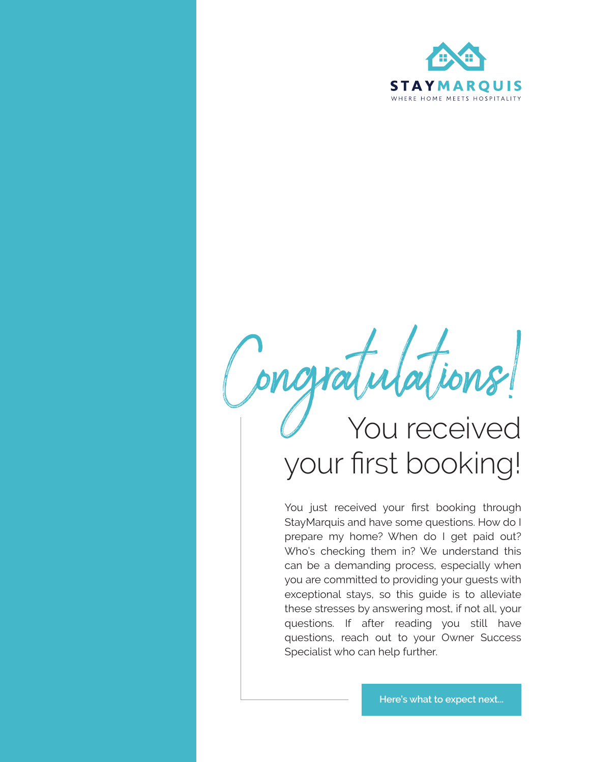

Congratulations! your first booking!

You just received your first booking through StayMarquis and have some questions. How do I prepare my home? When do I get paid out? Who's checking them in? We understand this can be a demanding process, especially when you are committed to providing your guests with exceptional stays, so this guide is to alleviate these stresses by answering most, if not all, your questions. If after reading you still have questions, reach out to your Owner Success Specialist who can help further.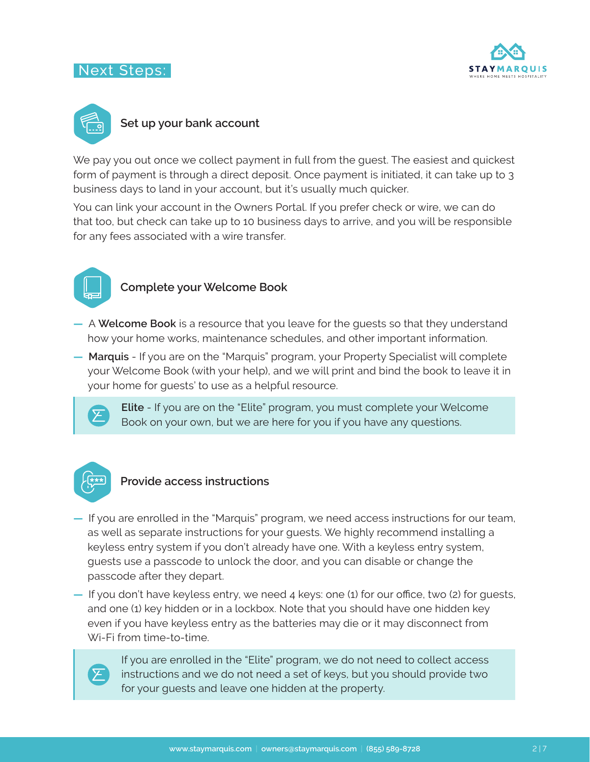## Next Steps:





## **Set up your bank account**

We pay you out once we collect payment in full from the quest. The easiest and quickest form of payment is through a direct deposit. Once payment is initiated, it can take up to 3 business days to land in your account, but it's usually much quicker.

You can link your account in the Owners Portal. If you prefer check or wire, we can do that too, but check can take up to 10 business days to arrive, and you will be responsible for any fees associated with a wire transfer.



## **Complete your Welcome Book**

- **—** A **Welcome Book** is a resource that you leave for the guests so that they understand how your home works, maintenance schedules, and other important information.
- **— Marquis** If you are on the "Marquis" program, your Property Specialist will complete your Welcome Book (with your help), and we will print and bind the book to leave it in your home for guests' to use as a helpful resource.



**Elite** - If you are on the "Elite" program, you must complete your Welcome Book on your own, but we are here for you if you have any questions.



## **Provide access instructions**

- **—** If you are enrolled in the "Marquis" program, we need access instructions for our team, as well as separate instructions for your guests. We highly recommend installing a keyless entry system if you don't already have one. With a keyless entry system, guests use a passcode to unlock the door, and you can disable or change the passcode after they depart.
- **—** If you don't have keyless entry, we need 4 keys: one (1) for our office, two (2) for guests, and one (1) key hidden or in a lockbox. Note that you should have one hidden key even if you have keyless entry as the batteries may die or it may disconnect from Wi-Fi from time-to-time.



If you are enrolled in the "Elite" program, we do not need to collect access instructions and we do not need a set of keys, but you should provide two for your guests and leave one hidden at the property.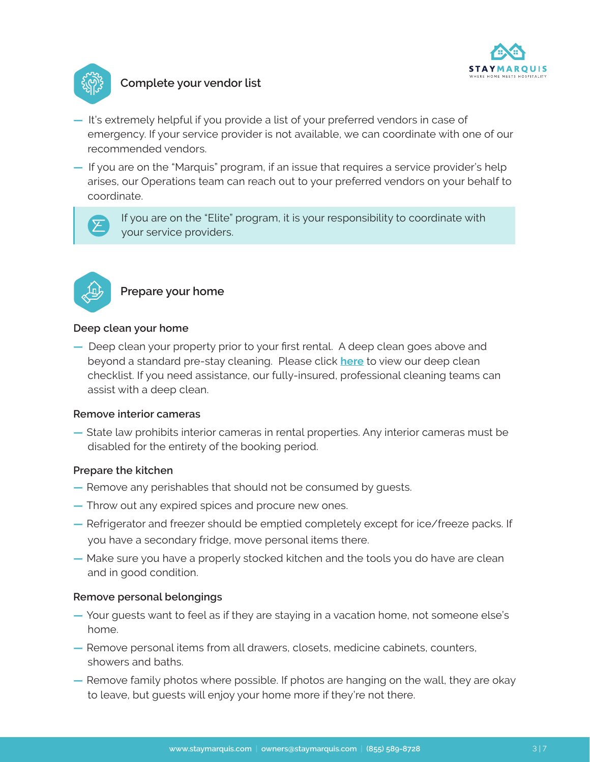



## **Complete your vendor list**

- **—** It's extremely helpful if you provide a list of your preferred vendors in case of emergency. If your service provider is not available, we can coordinate with one of our recommended vendors.
- **—** If you are on the "Marquis" program, if an issue that requires a service provider's help arises, our Operations team can reach out to your preferred vendors on your behalf to coordinate.



If you are on the "Elite" program, it is your responsibility to coordinate with your service providers.



# **Prepare your home**

#### **Deep clean your home**

**—** Deep clean your property prior to your first rental. A deep clean goes above and beyond a standard pre-stay cleaning. Please click **[here](https://staymarquis.com/pdf/StayMarquis_Deep_Cleaning.pdf)** to view our deep clean checklist. If you need assistance, our fully-insured, professional cleaning teams can assist with a deep clean.

#### **Remove interior cameras**

**—** State law prohibits interior cameras in rental properties. Any interior cameras must be disabled for the entirety of the booking period.

#### **Prepare the kitchen**

- **—** Remove any perishables that should not be consumed by guests.
- **—** Throw out any expired spices and procure new ones.
- **—** Refrigerator and freezer should be emptied completely except for ice/freeze packs. If you have a secondary fridge, move personal items there.
- **—** Make sure you have a properly stocked kitchen and the tools you do have are clean and in good condition.

#### **Remove personal belongings**

- **—** Your guests want to feel as if they are staying in a vacation home, not someone else's home.
- **—** Remove personal items from all drawers, closets, medicine cabinets, counters, showers and baths.
- **—** Remove family photos where possible. If photos are hanging on the wall, they are okay to leave, but guests will enjoy your home more if they're not there.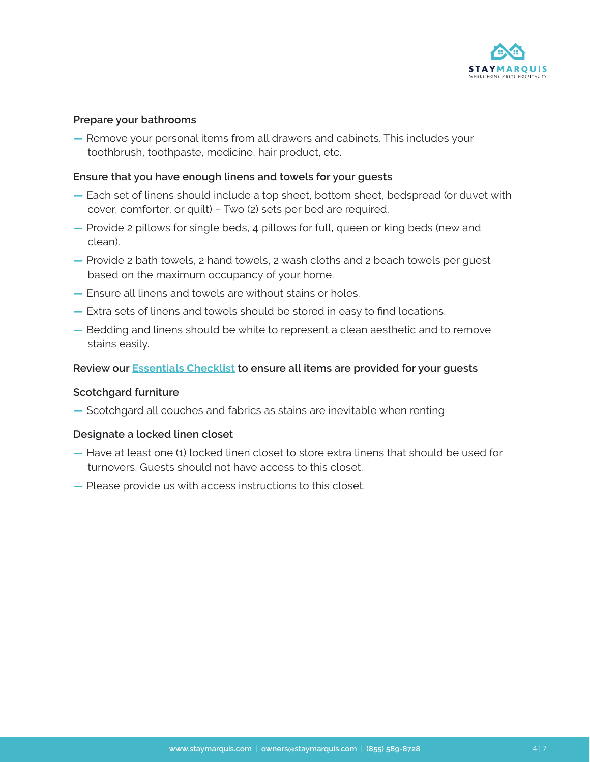

#### **Prepare your bathrooms**

**—** Remove your personal items from all drawers and cabinets. This includes your toothbrush, toothpaste, medicine, hair product, etc.

#### **Ensure that you have enough linens and towels for your guests**

- **—** Each set of linens should include a top sheet, bottom sheet, bedspread (or duvet with cover, comforter, or quilt) – Two (2) sets per bed are required.
- **—** Provide 2 pillows for single beds, 4 pillows for full, queen or king beds (new and clean).
- **—** Provide 2 bath towels, 2 hand towels, 2 wash cloths and 2 beach towels per guest based on the maximum occupancy of your home.
- **—** Ensure all linens and towels are without stains or holes.
- **—** Extra sets of linens and towels should be stored in easy to find locations.
- **—** Bedding and linens should be white to represent a clean aesthetic and to remove stains easily.

#### **Review our [Essentials Checklist](https://staymarquis.com/pdf/StayMarquis_Essentials_Checklist.pdf) to ensure all items are provided for your guests**

#### **Scotchgard furniture**

**—** Scotchgard all couches and fabrics as stains are inevitable when renting

#### **Designate a locked linen closet**

- **—** Have at least one (1) locked linen closet to store extra linens that should be used for turnovers. Guests should not have access to this closet.
- **—** Please provide us with access instructions to this closet.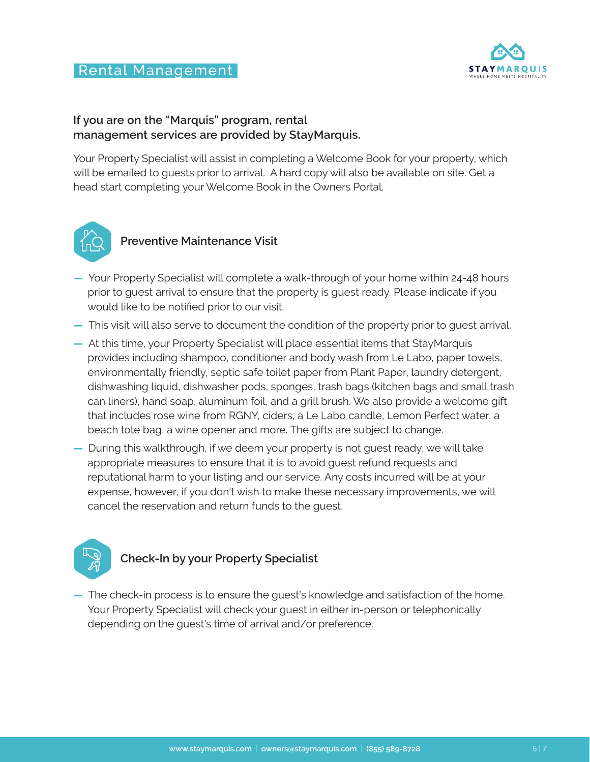# Rental Management



## **If you are on the "Marquis" program, rental management services are provided by StayMarquis.**

Your Property Specialist will assist in completing a Welcome Book for your property, which will be emailed to guests prior to arrival. A hard copy will also be available on site. Get a head start completing your Welcome Book in the Owners Portal.



## **Preventive Maintenance Visit**

- **—** Your Property Specialist will complete a walk-through of your home within 24-48 hours prior to guest arrival to ensure that the property is guest ready. Please indicate if you would like to be notified prior to our visit.
- **—** This visit will also serve to document the condition of the property prior to guest arrival.
- **—** At this time, your Property Specialist will place essential items that StayMarquis provides including shampoo, conditioner and body wash from Le Labo, paper towels, environmentally friendly, septic safe toilet paper from Plant Paper, laundry detergent, dishwashing liquid, dishwasher pods, sponges, trash bags (kitchen bags and small trash can liners), hand soap, aluminum foil, and a grill brush. We also provide a welcome gift that includes rose wine from RGNY, ciders, a Le Labo candle, Lemon Perfect water, a beach tote bag, a wine opener and more. The gifts are subject to change.
- **—** During this walkthrough, if we deem your property is not guest ready, we will take appropriate measures to ensure that it is to avoid guest refund requests and reputational harm to your listing and our service. Any costs incurred will be at your expense, however, if you don't wish to make these necessary improvements, we will cancel the reservation and return funds to the guest.



# **Check-In by your Property Specialist**

**—** The check-in process is to ensure the guest's knowledge and satisfaction of the home. Your Property Specialist will check your guest in either in-person or telephonically depending on the guest's time of arrival and/or preference.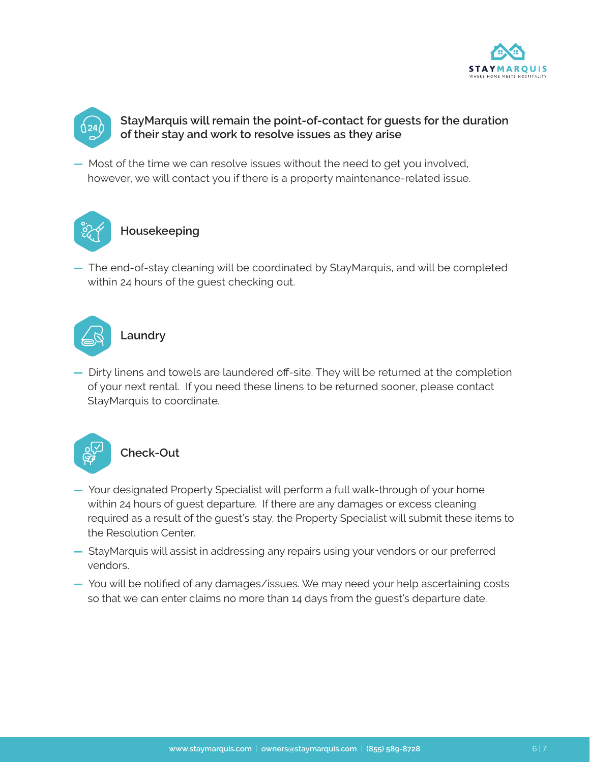



## **StayMarquis will remain the point-of-contact for guests for the duration of their stay and work to resolve issues as they arise**

**—** Most of the time we can resolve issues without the need to get you involved, however, we will contact you if there is a property maintenance-related issue.



**—** The end-of-stay cleaning will be coordinated by StayMarquis, and will be completed within 24 hours of the guest checking out.



**—** Dirty linens and towels are laundered off-site. They will be returned at the completion of your next rental. If you need these linens to be returned sooner, please contact StayMarquis to coordinate.



- **—** Your designated Property Specialist will perform a full walk-through of your home within 24 hours of guest departure. If there are any damages or excess cleaning required as a result of the guest's stay, the Property Specialist will submit these items to the Resolution Center.
- **—** StayMarquis will assist in addressing any repairs using your vendors or our preferred vendors.
- **—** You will be notified of any damages/issues. We may need your help ascertaining costs so that we can enter claims no more than 14 days from the guest's departure date.